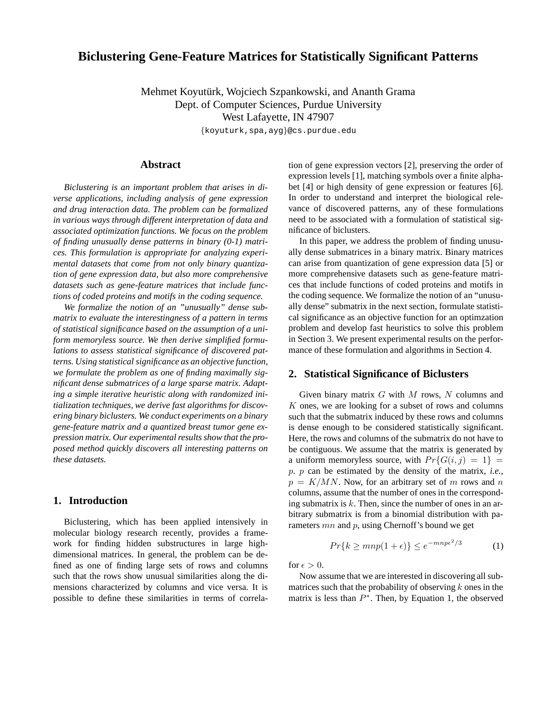# **Biclustering Gene-Feature Matrices for Statistically Significant Patterns**

Mehmet Koyutürk, Wojciech Szpankowski, and Ananth Grama Dept. of Computer Sciences, Purdue University

West Lafayette, IN 47907

{koyuturk,spa,ayg}@cs.purdue.edu

## **Abstract**

*Biclustering is an important problem that arises in diverse applications, including analysis of gene expression and drug interaction data. The problem can be formalized in various ways through different interpretation of data and associated optimization functions. We focus on the problem of finding unusually dense patterns in binary (0-1) matrices. This formulation is appropriate for analyzing experimental datasets that come from not only binary quantization of gene expression data, but also more comprehensive datasets such as gene-feature matrices that include functions of coded proteins and motifs in the coding sequence.*

*We formalize the notion of an "unusually" dense submatrix to evaluate the interestingness of a pattern in terms of statistical significance based on the assumption of a uniform memoryless source. We then derive simplified formulations to assess statistical significance of discovered patterns. Using statistical significance as an objective function, we formulate the problem as one of finding maximally significant dense submatrices of a large sparse matrix. Adapting a simple iterative heuristic along with randomized initialization techniques, we derive fast algorithms for discovering binary biclusters. We conduct experiments on a binary gene-feature matrix and a quantized breast tumor gene expression matrix. Our experimental results show that the proposed method quickly discovers all interesting patterns on these datasets.*

#### **1. Introduction**

Biclustering, which has been applied intensively in molecular biology research recently, provides a framework for finding hidden substructures in large highdimensional matrices. In general, the problem can be defined as one of finding large sets of rows and columns such that the rows show unusual similarities along the dimensions characterized by columns and vice versa. It is possible to define these similarities in terms of correlation of gene expression vectors [2], preserving the order of expression levels [1], matching symbols over a finite alphabet [4] or high density of gene expression or features [6]. In order to understand and interpret the biological relevance of discovered patterns, any of these formulations need to be associated with a formulation of statistical significance of biclusters.

In this paper, we address the problem of finding unusually dense submatrices in a binary matrix. Binary matrices can arise from quantization of gene expression data [5] or more comprehensive datasets such as gene-feature matrices that include functions of coded proteins and motifs in the coding sequence. We formalize the notion of an "unusually dense" submatrix in the next section, formulate statistical significance as an objective function for an optimzation problem and develop fast heuristics to solve this problem in Section 3. We present experimental results on the performance of these formulation and algorithms in Section 4.

### **2. Statistical Significance of Biclusters**

Given binary matrix  $G$  with  $M$  rows,  $N$  columns and  $K$  ones, we are looking for a subset of rows and columns such that the submatrix induced by these rows and columns is dense enough to be considered statistically significant. Here, the rows and columns of the submatrix do not have to be contiguous. We assume that the matrix is generated by a uniform memoryless source, with  $Pr{G(i, j) = 1}$  = p. p can be estimated by the density of the matrix, *i.e.*,  $p = K/MN$ . Now, for an arbitrary set of m rows and n columns, assume that the number of ones in the corresponding submatrix is  $k$ . Then, since the number of ones in an arbitrary submatrix is from a binomial distribution with parameters mn and p, using Chernoff's bound we get

$$
Pr{k \geq mnp(1+\epsilon)} \leq e^{-mnp\epsilon^2/3} \tag{1}
$$

for  $\epsilon > 0$ .

Now assume that we are interested in discovering all submatrices such that the probability of observing  $k$  ones in the matrix is less than  $P^*$ . Then, by Equation 1, the observed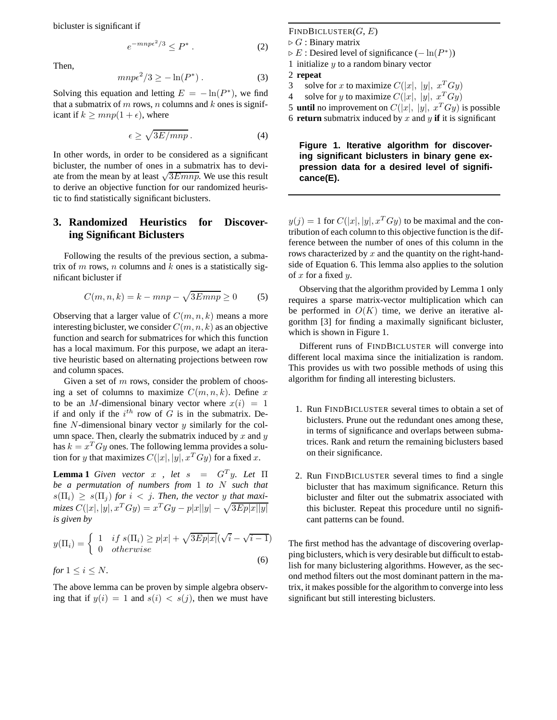bicluster is significant if

$$
e^{-mnp\epsilon^2/3} \le P^* \,. \tag{2}
$$

Then,

$$
mnp\epsilon^2/3 \ge -\ln(P^*)\,. \tag{3}
$$

Solving this equation and letting  $E = -\ln(P^*)$ , we find that a submatrix of  $m$  rows,  $n$  columns and  $k$  ones is significant if  $k \geq mnp(1+\epsilon)$ , where

$$
\epsilon \ge \sqrt{3E/mnp} \,. \tag{4}
$$

In other words, in order to be considered as a significant bicluster, the number of ones in a submatrix has to deviate from the mean by at least  $\sqrt{3E mnp}$ . We use this result to derive an objective function for our randomized heuristic to find statistically significant biclusters.

# **3. Randomized Heuristics for Discovering Significant Biclusters**

Following the results of the previous section, a submatrix of  $m$  rows,  $n$  columns and  $k$  ones is a statistically significant bicluster if

$$
C(m, n, k) = k - mnp - \sqrt{3E mnp} \ge 0
$$
 (5)

Observing that a larger value of  $C(m, n, k)$  means a more interesting bicluster, we consider  $C(m, n, k)$  as an objective function and search for submatrices for which this function has a local maximum. For this purpose, we adapt an iterative heuristic based on alternating projections between row and column spaces.

Given a set of  $m$  rows, consider the problem of choosing a set of columns to maximize  $C(m, n, k)$ . Define x to be an M-dimensional binary vector where  $x(i) = 1$ if and only if the  $i^{th}$  row of G is in the submatrix. Define  $N$ -dimensional binary vector  $y$  similarly for the column space. Then, clearly the submatrix induced by  $x$  and  $y$ has  $k = x^T Gy$  ones. The following lemma provides a solution for y that maximizes  $C(|x|, |y|, x^T G y)$  for a fixed x.

**Lemma 1** *Given vector*  $x$ , *let*  $s = G<sup>T</sup>y$ *. Let*  $\Pi$ *be a permutation of numbers from* 1 *to* N *such that*  $s(\Pi_i) > s(\Pi_j)$  *for*  $i < j$ *. Then, the vector y that maximizes*  $C(|x|, |y|, x^T Gy) = x^T Gy - p|x||y| - \sqrt{3Ep|x||y|}$ *is given by*

$$
y(\Pi_i) = \begin{cases} 1 & \text{if } s(\Pi_i) \ge p|x| + \sqrt{3Ep|x|}(\sqrt{i} - \sqrt{i-1})\\ 0 & \text{otherwise} \end{cases} \tag{6}
$$

*for*  $1 \leq i \leq N$ *.* 

The above lemma can be proven by simple algebra observing that if  $y(i) = 1$  and  $s(i) < s(j)$ , then we must have

 $FINDBICLUSTER(G, E)$  $\triangleright$  G : Binary matrix  $\triangleright E$ : Desired level of significance ( $-\ln(P^*)$ ) 1 initialize  $y$  to a random binary vector

- 2 **repeat**
- 3 solve for x to maximize  $C(|x|, |y|, x^T G y)$
- 4 solve for y to maximize  $C(|x|, |y|, x^T Gy)$
- 5 **until** no improvement on  $C(|x|, |y|, x^T Gy)$  is possible

6 **return** submatrix induced by x and y **if** it is significant

### **Figure 1. Iterative algorithm for discovering significant biclusters in binary gene expression data for a desired level of significance(E).**

 $y(j) = 1$  for  $C(|x|, |y|, x^T G y)$  to be maximal and the contribution of each column to this objective function is the difference between the number of ones of this column in the rows characterized by  $x$  and the quantity on the right-handside of Equation 6. This lemma also applies to the solution of  $x$  for a fixed  $y$ .

Observing that the algorithm provided by Lemma 1 only requires a sparse matrix-vector multiplication which can be performed in  $O(K)$  time, we derive an iterative algorithm [3] for finding a maximally significant bicluster, which is shown in Figure 1.

Different runs of FINDBICLUSTER will converge into different local maxima since the initialization is random. This provides us with two possible methods of using this algorithm for finding all interesting biclusters.

- 1. Run FINDBICLUSTER several times to obtain a set of biclusters. Prune out the redundant ones among these, in terms of significance and overlaps between submatrices. Rank and return the remaining biclusters based on their significance.
- 2. Run FINDBICLUSTER several times to find a single bicluster that has maximum significance. Return this bicluster and filter out the submatrix associated with this bicluster. Repeat this procedure until no significant patterns can be found.

The first method has the advantage of discovering overlapping biclusters, which is very desirable but difficult to establish for many biclustering algorithms. However, as the second method filters out the most dominant pattern in the matrix, it makes possible for the algorithm to converge into less significant but still interesting biclusters.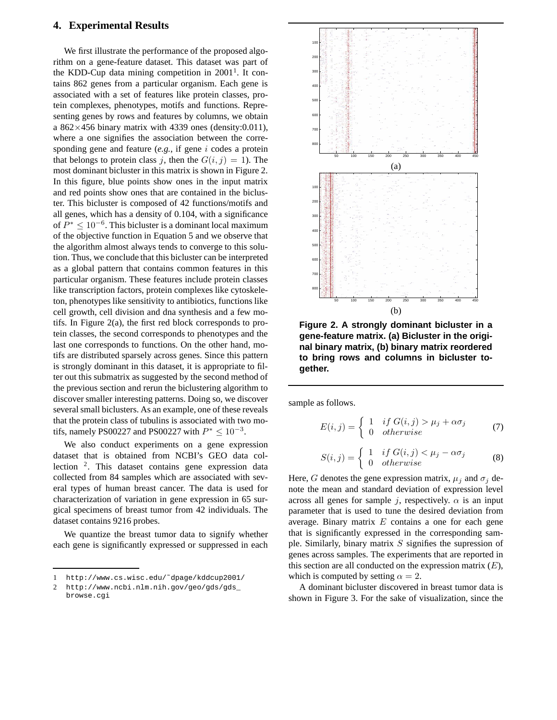### **4. Experimental Results**

We first illustrate the performance of the proposed algorithm on a gene-feature dataset. This dataset was part of the KDD-Cup data mining competition in  $2001<sup>1</sup>$ . It contains 862 genes from a particular organism. Each gene is associated with a set of features like protein classes, protein complexes, phenotypes, motifs and functions. Representing genes by rows and features by columns, we obtain a  $862\times456$  binary matrix with 4339 ones (density:0.011), where a one signifies the association between the corresponding gene and feature (*e.g.*, if gene i codes a protein that belongs to protein class j, then the  $G(i, j) = 1$ ). The most dominant bicluster in this matrix is shown in Figure 2. In this figure, blue points show ones in the input matrix and red points show ones that are contained in the bicluster. This bicluster is composed of 42 functions/motifs and all genes, which has a density of 0.104, with a significance of  $P^* \leq 10^{-6}$ . This bicluster is a dominant local maximum of the objective function in Equation 5 and we observe that the algorithm almost always tends to converge to this solution. Thus, we conclude that this bicluster can be interpreted as a global pattern that contains common features in this particular organism. These features include protein classes like transcription factors, protein complexes like cytoskeleton, phenotypes like sensitivity to antibiotics, functions like cell growth, cell division and dna synthesis and a few motifs. In Figure 2(a), the first red block corresponds to protein classes, the second corresponds to phenotypes and the last one corresponds to functions. On the other hand, motifs are distributed sparsely across genes. Since this pattern is strongly dominant in this dataset, it is appropriate to filter out this submatrix as suggested by the second method of the previous section and rerun the biclustering algorithm to discover smaller interesting patterns. Doing so, we discover several small biclusters. As an example, one of these reveals that the protein class of tubulins is associated with two motifs, namely PS00227 and PS00227 with  $P^* \le 10^{-3}$ .

We also conduct experiments on a gene expression dataset that is obtained from NCBI's GEO data collection <sup>2</sup> . This dataset contains gene expression data collected from 84 samples which are associated with several types of human breast cancer. The data is used for characterization of variation in gene expression in 65 surgical specimens of breast tumor from 42 individuals. The dataset contains 9216 probes.

We quantize the breast tumor data to signify whether each gene is significantly expressed or suppressed in each



**Figure 2. A strongly dominant bicluster in a gene-feature matrix. (a) Bicluster in the original binary matrix, (b) binary matrix reordered to bring rows and columns in bicluster together.**

sample as follows.

$$
E(i,j) = \begin{cases} 1 & if \ G(i,j) > \mu_j + \alpha \sigma_j \\ 0 & otherwise \end{cases}
$$
 (7)

$$
S(i,j) = \begin{cases} 1 & if \ G(i,j) < \mu_j - \alpha \sigma_j \\ 0 & otherwise \end{cases} \tag{8}
$$

Here, G denotes the gene expression matrix,  $\mu_j$  and  $\sigma_j$  denote the mean and standard deviation of expression level across all genes for sample j, respectively.  $\alpha$  is an input parameter that is used to tune the desired deviation from average. Binary matrix  $E$  contains a one for each gene that is significantly expressed in the corresponding sample. Similarly, binary matrix  $S$  signifies the supression of genes across samples. The experiments that are reported in this section are all conducted on the expression matrix  $(E)$ , which is computed by setting  $\alpha = 2$ .

A dominant bicluster discovered in breast tumor data is shown in Figure 3. For the sake of visualization, since the

<sup>1</sup> http://www.cs.wisc.edu/˜dpage/kddcup2001/

<sup>2</sup> http://www.ncbi.nlm.nih.gov/geo/gds/gds\_ browse.cgi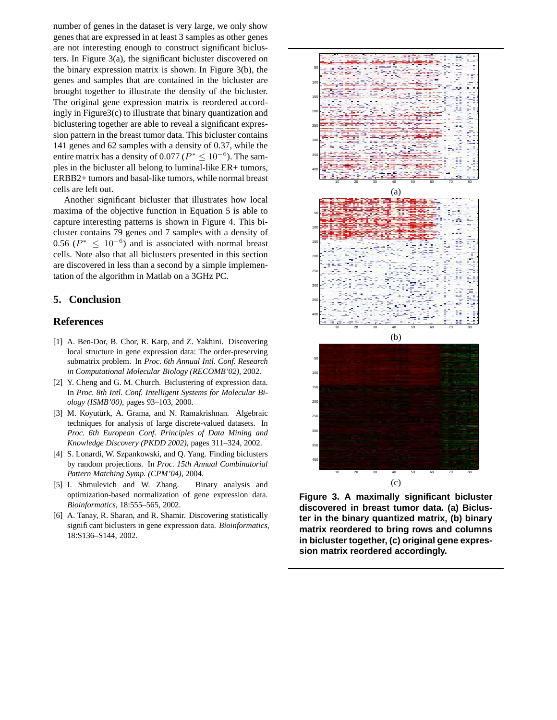number of genes in the dataset is very large, we only show genes that are expressed in at least 3 samples as other genes are not interesting enough to construct significant biclusters. In Figure 3(a), the significant bicluster discovered on the binary expression matrix is shown. In Figure 3(b), the genes and samples that are contained in the bicluster are brought together to illustrate the density of the bicluster. The original gene expression matrix is reordered accordingly in Figure3(c) to illustrate that binary quantization and biclustering together are able to reveal a significant expression pattern in the breast tumor data. This bicluster contains 141 genes and 62 samples with a density of 0.37, while the entire matrix has a density of 0.077 ( $P^* \leq 10^{-6}$ ). The samples in the bicluster all belong to luminal-like ER+ tumors, ERBB2+ tumors and basal-like tumors, while normal breast cells are left out.

Another significant bicluster that illustrates how local maxima of the objective function in Equation 5 is able to capture interesting patterns is shown in Figure 4. This bicluster contains 79 genes and 7 samples with a density of 0.56 ( $P^* \leq 10^{-6}$ ) and is associated with normal breast cells. Note also that all biclusters presented in this section are discovered in less than a second by a simple implementation of the algorithm in Matlab on a 3GHz PC.

## **5. Conclusion**

### **References**

- [1] A. Ben-Dor, B. Chor, R. Karp, and Z. Yakhini. Discovering local structure in gene expression data: The order-preserving submatrix problem. In *Proc. 6th Annual Intl. Conf. Research in Computational Molecular Biology (RECOMB'02)*, 2002.
- [2] Y. Cheng and G. M. Church. Biclustering of expression data. In *Proc. 8th Intl. Conf. Intelligent Systems for Molecular Biology (ISMB'00)*, pages 93–103, 2000.
- [3] M. Koyutürk, A. Grama, and N. Ramakrishnan. Algebraic techniques for analysis of large discrete-valued datasets. In *Proc. 6th European Conf. Principles of Data Mining and Knowledge Discovery (PKDD 2002)*, pages 311–324, 2002.
- [4] S. Lonardi, W. Szpankowski, and Q. Yang. Finding biclusters by random projections. In *Proc. 15th Annual Combinatorial Pattern Matching Symp. (CPM'04)*, 2004.
- [5] I. Shmulevich and W. Zhang. Binary analysis and optimization-based normalization of gene expression data. *Bioinformatics*, 18:555–565, 2002.
- [6] A. Tanay, R. Sharan, and R. Shamir. Discovering statistically significant biclusters in gene expression data. *Bioinformatics*, 18:S136–S144, 2002.



**Figure 3. A maximally significant bicluster discovered in breast tumor data. (a) Bicluster in the binary quantized matrix, (b) binary matrix reordered to bring rows and columns in bicluster together, (c) original gene expression matrix reordered accordingly.**